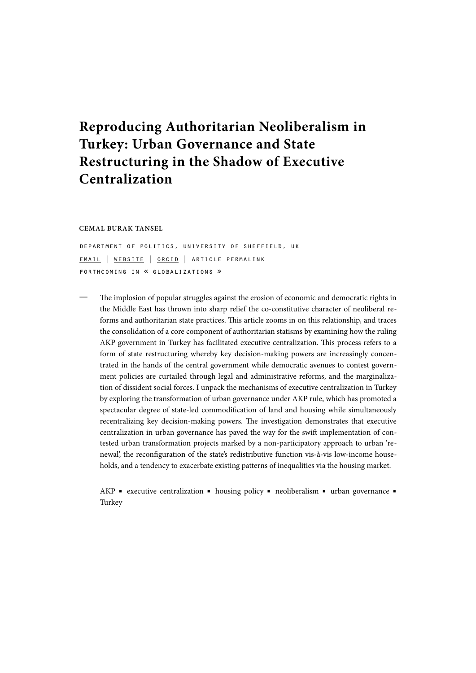# **Reproducing Authoritarian Neoliberalism in Turkey: Urban Governance and State Restructuring in the Shadow of Executive Centralization**

**CEMAL BURAK TANSEL**

department of politics, university of sheffield, uk [email](mailto:c.b.tansel@sheffield.ac.uk) | [website](http://www.cbtansel.net) | [orcid](http://orcid.org/0000-0001-7586-459X) | article permalink forthcoming in « globalizations »

The implosion of popular struggles against the erosion of economic and democratic rights in the Middle East has thrown into sharp relief the co-constitutive character of neoliberal reforms and authoritarian state practices. This article zooms in on this relationship, and traces the consolidation of a core component of authoritarian statisms by examining how the ruling AKP government in Turkey has facilitated executive centralization. This process refers to a form of state restructuring whereby key decision-making powers are increasingly concentrated in the hands of the central government while democratic avenues to contest government policies are curtailed through legal and administrative reforms, and the marginalization of dissident social forces. I unpack the mechanisms of executive centralization in Turkey by exploring the transformation of urban governance under AKP rule, which has promoted a spectacular degree of state-led commodification of land and housing while simultaneously recentralizing key decision-making powers. The investigation demonstrates that executive centralization in urban governance has paved the way for the swit implementation of contested urban transformation projects marked by a non-participatory approach to urban 'renewal', the reconiguration of the state's redistributive function vis-à-vis low-income households, and a tendency to exacerbate existing patterns of inequalities via the housing market.

AKP • executive centralization • housing policy • neoliberalism • urban governance • Turkey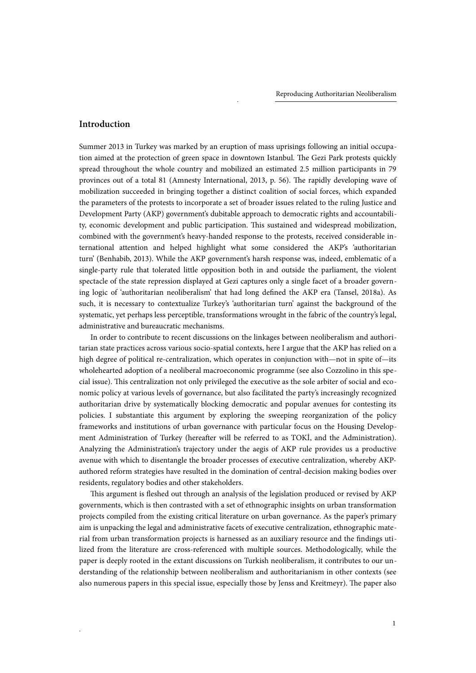# **Introduction**

Summer 2013 in Turkey was marked by an eruption of mass uprisings following an initial occupation aimed at the protection of green space in downtown Istanbul. The Gezi Park protests quickly spread throughout the whole country and mobilized an estimated 2.5 million participants in 79 provinces out of a total 81 (Amnesty International, 2013, p. 56). The rapidly developing wave of mobilization succeeded in bringing together a distinct coalition of social forces, which expanded the parameters of the protests to incorporate a set of broader issues related to the ruling Justice and Development Party (AKP) government's dubitable approach to democratic rights and accountability, economic development and public participation. This sustained and widespread mobilization, combined with the government's heavy-handed response to the protests, received considerable international attention and helped highlight what some considered the AKP's 'authoritarian turn' (Benhabib, 2013). While the AKP government's harsh response was, indeed, emblematic of a single-party rule that tolerated little opposition both in and outside the parliament, the violent spectacle of the state repression displayed at Gezi captures only a single facet of a broader governing logic of 'authoritarian neoliberalism' that had long deined the AKP era (Tansel, 2018a). As such, it is necessary to contextualize Turkey's 'authoritarian turn' against the background of the systematic, yet perhaps less perceptible, transformations wrought in the fabric of the country's legal, administrative and bureaucratic mechanisms.

 In order to contribute to recent discussions on the linkages between neoliberalism and authoritarian state practices across various socio-spatial contexts, here I argue that the AKP has relied on a high degree of political re-centralization, which operates in conjunction with—not in spite of—its wholehearted adoption of a neoliberal macroeconomic programme (see also Cozzolino in this special issue). This centralization not only privileged the executive as the sole arbiter of social and economic policy at various levels of governance, but also facilitated the party's increasingly recognized authoritarian drive by systematically blocking democratic and popular avenues for contesting its policies. I substantiate this argument by exploring the sweeping reorganization of the policy frameworks and institutions of urban governance with particular focus on the Housing Development Administration of Turkey (hereater will be referred to as TOKİ, and the Administration). Analyzing the Administration's trajectory under the aegis of AKP rule provides us a productive avenue with which to disentangle the broader processes of executive centralization, whereby AKPauthored reform strategies have resulted in the domination of central-decision making bodies over residents, regulatory bodies and other stakeholders.

his argument is leshed out through an analysis of the legislation produced or revised by AKP governments, which is then contrasted with a set of ethnographic insights on urban transformation projects compiled from the existing critical literature on urban governance. As the paper's primary aim is unpacking the legal and administrative facets of executive centralization, ethnographic material from urban transformation projects is harnessed as an auxiliary resource and the indings utilized from the literature are cross-referenced with multiple sources. Methodologically, while the paper is deeply rooted in the extant discussions on Turkish neoliberalism, it contributes to our understanding of the relationship between neoliberalism and authoritarianism in other contexts (see also numerous papers in this special issue, especially those by Jenss and Kreitmeyr). The paper also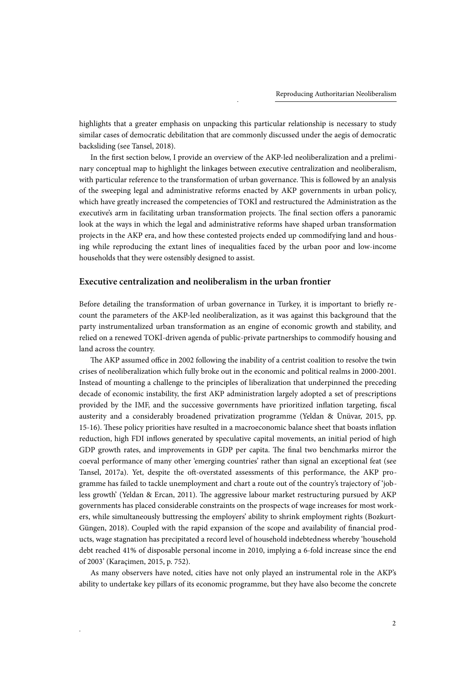highlights that a greater emphasis on unpacking this particular relationship is necessary to study similar cases of democratic debilitation that are commonly discussed under the aegis of democratic backsliding (see Tansel, 2018).

 In the irst section below, I provide an overview of the AKP-led neoliberalization and a preliminary conceptual map to highlight the linkages between executive centralization and neoliberalism, with particular reference to the transformation of urban governance. This is followed by an analysis of the sweeping legal and administrative reforms enacted by AKP governments in urban policy, which have greatly increased the competencies of TOKİ and restructured the Administration as the executive's arm in facilitating urban transformation projects. The final section offers a panoramic look at the ways in which the legal and administrative reforms have shaped urban transformation projects in the AKP era, and how these contested projects ended up commodifying land and housing while reproducing the extant lines of inequalities faced by the urban poor and low-income households that they were ostensibly designed to assist.

### **Executive centralization and neoliberalism in the urban frontier**

Before detailing the transformation of urban governance in Turkey, it is important to briely recount the parameters of the AKP-led neoliberalization, as it was against this background that the party instrumentalized urban transformation as an engine of economic growth and stability, and relied on a renewed TOKİ-driven agenda of public-private partnerships to commodify housing and land across the country.

The AKP assumed office in 2002 following the inability of a centrist coalition to resolve the twin crises of neoliberalization which fully broke out in the economic and political realms in 2000-2001. Instead of mounting a challenge to the principles of liberalization that underpinned the preceding decade of economic instability, the irst AKP administration largely adopted a set of prescriptions provided by the IMF, and the successive governments have prioritized inlation targeting, iscal austerity and a considerably broadened privatization programme (Yeldan & Ünüvar, 2015, pp. 15-16). hese policy priorities have resulted in a macroeconomic balance sheet that boasts inlation reduction, high FDI inlows generated by speculative capital movements, an initial period of high GDP growth rates, and improvements in GDP per capita. The final two benchmarks mirror the coeval performance of many other 'emerging countries' rather than signal an exceptional feat (see Tansel, 2017a). Yet, despite the oft-overstated assessments of this performance, the AKP programme has failed to tackle unemployment and chart a route out of the country's trajectory of 'jobless growth' (Yeldan & Ercan, 2011). he aggressive labour market restructuring pursued by AKP governments has placed considerable constraints on the prospects of wage increases for most workers, while simultaneously buttressing the employers' ability to shrink employment rights (Bozkurt-Güngen, 2018). Coupled with the rapid expansion of the scope and availability of financial products, wage stagnation has precipitated a record level of household indebtedness whereby 'household debt reached 41% of disposable personal income in 2010, implying a 6-fold increase since the end of 2003' (Karaçimen, 2015, p. 752).

 As many observers have noted, cities have not only played an instrumental role in the AKP's ability to undertake key pillars of its economic programme, but they have also become the concrete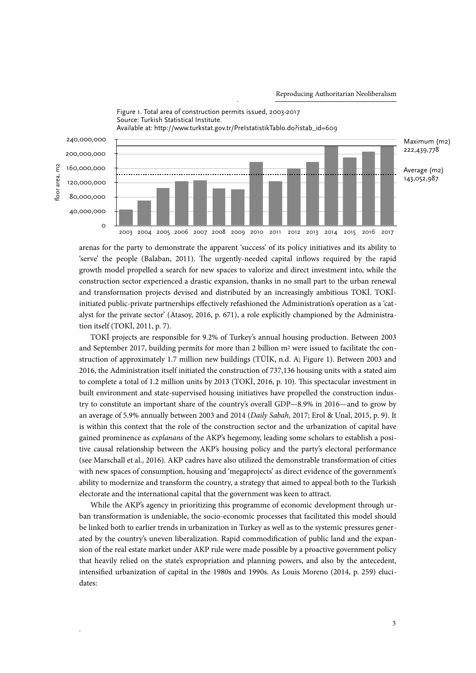Reproducing Authoritarian Neoliberalism



arenas for the party to demonstrate the apparent 'success' of its policy initiatives and its ability to 'serve' the people (Balaban, 2011). he urgently-needed capital inlows required by the rapid growth model propelled a search for new spaces to valorize and direct investment into, while the construction sector experienced a drastic expansion, thanks in no small part to the urban renewal and transformation projects devised and distributed by an increasingly ambitious TOKİ. TOKİinitiated public-private partnerships effectively refashioned the Administration's operation as a 'catalyst for the private sector' (Atasoy, 2016, p. 671), a role explicitly championed by the Administration itself (TOKİ, 2011, p. 7).

<span id="page-3-0"></span> TOKİ projects are responsible for 9.2% of Turkey's annual housing production. Between 2003 and September 2017, building permits for more than 2 billion  $m<sup>2</sup>$  were issued to facilitate the construction of approximately 1.7 million new buildings (TÜİK, n.d. A; Figure 1). Between 2003 and 2016, the Administration itself initiated the construction of 737,136 housing units with a stated aim to complete a total of 1.2 million units by 2013 (TOKİ, 2016, p. 10). his spectacular investment in built environment and state-supervised housing initiatives have propelled the construction industry to constitute an important share of the country's overall GDP—8.9% in 2016—and to grow by an average of 5.9% annually between 2003 and 2014 (Daily Sabah, 2017; Erol & Unal, 2015, p. 9). It is within this context that the role of the construction sector and the urbanization of capital have gained prominence as explanans of the AKP's hegemony, leading some scholars to establish a positive causal relationship between the AKP's housing policy and the party's electoral performance (see Marschall et al., 2016). AKP cadres have also utilized the demonstrable transformation of cities with new spaces of consumption, housing and 'megaprojects' as direct evidence of the government's ability to modernize and transform the country, a strategy that aimed to appeal both to the Turkish electorate and the international capital that the government was keen to attract.

 While the AKP's agency in prioritizing this programme of economic development through urban transformation is undeniable, the socio-economic processes that facilitated this model should be linked both to earlier trends in urbanization in Turkey as well as to the systemic pressures generated by the country's uneven liberalization. Rapid commodiication of public land and the expansion of the real estate market under AKP rule were made possible by a proactive government policy that heavily relied on the state's expropriation and planning powers, and also by the antecedent, intensiied urbanization of capital in the 1980s and 1990s. As Louis Moreno (2014, p. 259) elucidates: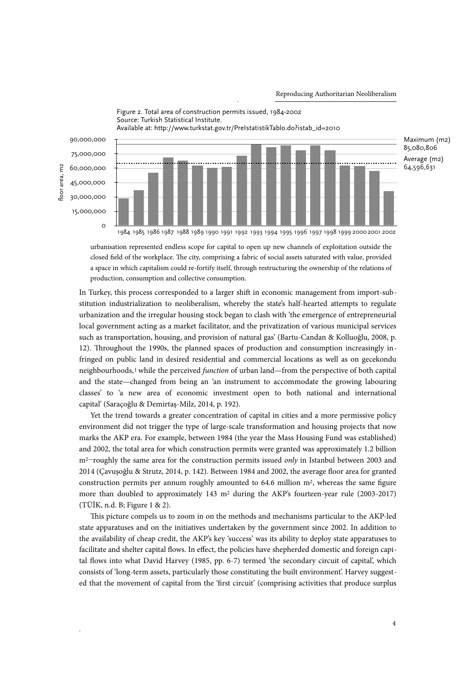

Figure 2. Total area of construction permits issued, 1984-2002

1984 1985 1986 1987 1988 1989 1990 1991 1992 1993 1994 1995 1996 1997 1998 1999 20002001 2002

urbanisation represented endless scope for capital to open up new channels of exploitation outside the closed field of the workplace. The city, comprising a fabric of social assets saturated with value, provided a space in which capitalism could re-fortify itself, through restructuring the ownership of the relations of production, consumption and collective consumption.

In Turkey, this process corresponded to a larger shit in economic management from import-substitution industrialization to neoliberalism, whereby the state's half-hearted attempts to regulate urbanization and the irregular housing stock began to clash with 'the emergence of entrepreneurial local government acting as a market facilitator, and the privatization of various municipal services such as transportation, housing, and provision of natural gas' (Bartu-Candan & Kolluoğlu, 2008, p. 12). hroughout the 1990s, the planned spaces of production and consumption increasingly infringed on public land in desired residential and commercial locations as well as on gecekondu neighbourhoods,<sup>1</sup>while the perceived *function* of urban land—from the perspective of both capital and the state—changed from being an 'an instrument to accommodate the growing labouring classes' to 'a new area of economic investment open to both national and international capital' (Saraçoğlu & Demirtaş-Milz, 2014, p. 192).

 Yet the trend towards a greater concentration of capital in cities and a more permissive policy environment did not trigger the type of large-scale transformation and housing projects that now marks the AKP era. For example, between 1984 (the year the Mass Housing Fund was established) and 2002, the total area for which construction permits were granted was approximately 1.2 billion  $m^2$ -roughly the same area for the construction permits issued *only* in Istanbul between 2003 and 2014 (Çavuşoğlu & Strutz, 2014, p. 142). Between 1984 and 2002, the average loor area for granted construction permits per annum roughly amounted to 64.6 million m<sup>2</sup>, whereas the same figure more than doubled to approximately 143 m2 during the AKP's fourteen-year rule (2003-2017)  $(TÜIK, n.d. B; Figure 1 & 2).$ 

his picture compels us to zoom in on the methods and mechanisms particular to the AKP-led state apparatuses and on the initiatives undertaken by the government since 2002. In addition to the availability of cheap credit, the AKP's key 'success' was its ability to deploy state apparatuses to facilitate and shelter capital lows. In effect, the policies have shepherded domestic and foreign capital flows into what David Harvey (1985, pp. 6-7) termed 'the secondary circuit of capital', which consists of 'long-term assets, particularly those constituting the built environment'. Harvey suggested that the movement of capital from the 'first circuit' (comprising activities that produce surplus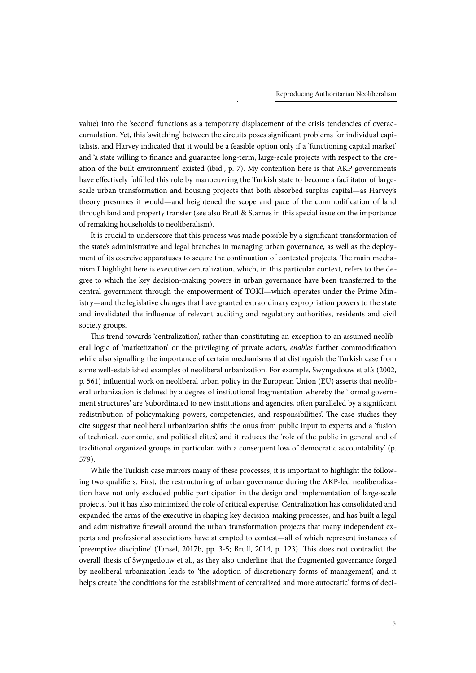value) into the 'second' functions as a temporary displacement of the crisis tendencies of overaccumulation. Yet, this 'switching' between the circuits poses significant problems for individual capitalists, and Harvey indicated that it would be a feasible option only if a 'functioning capital market' and 'a state willing to finance and guarantee long-term, large-scale projects with respect to the creation of the built environment' existed (ibid., p. 7). My contention here is that AKP governments have effectively fulilled this role by manoeuvring the Turkish state to become a facilitator of largescale urban transformation and housing projects that both absorbed surplus capital—as Harvey's theory presumes it would—and heightened the scope and pace of the commodification of land through land and property transfer (see also Bruff & Starnes in this special issue on the importance of remaking households to neoliberalism).

It is crucial to underscore that this process was made possible by a significant transformation of the state's administrative and legal branches in managing urban governance, as well as the deployment of its coercive apparatuses to secure the continuation of contested projects. The main mechanism I highlight here is executive centralization, which, in this particular context, refers to the degree to which the key decision-making powers in urban governance have been transferred to the central government through the empowerment of TOKİ—which operates under the Prime Ministry—and the legislative changes that have granted extraordinary expropriation powers to the state and invalidated the inluence of relevant auditing and regulatory authorities, residents and civil society groups.

his trend towards 'centralization', rather than constituting an exception to an assumed neoliberal logic of 'marketization' or the privileging of private actors, *enables* further commodification while also signalling the importance of certain mechanisms that distinguish the Turkish case from some well-established examples of neoliberal urbanization. For example, Swyngedouw et al.'s (2002, p. 561) inluential work on neoliberal urban policy in the European Union (EU) asserts that neoliberal urbanization is defined by a degree of institutional fragmentation whereby the 'formal government structures' are 'subordinated to new institutions and agencies, often paralleled by a significant redistribution of policymaking powers, competencies, and responsibilities'. The case studies they cite suggest that neoliberal urbanization shits the onus from public input to experts and a 'fusion of technical, economic, and political elites', and it reduces the 'role of the public in general and of traditional organized groups in particular, with a consequent loss of democratic accountability' (p. 579).

<span id="page-5-0"></span> While the Turkish case mirrors many of these processes, it is important to highlight the following two qualifiers. First, the restructuring of urban governance during the AKP-led neoliberalization have not only excluded public participation in the design and implementation of large-scale projects, but it has also minimized the role of critical expertise. Centralization has consolidated and expanded the arms of the executive in shaping key decision-making processes, and has built a legal and administrative firewall around the urban transformation projects that many independent experts and professional associations have attempted to contest—all of which represent instances of 'preemptive discipline' (Tansel, 2017b, pp. 3-5; Bruff, 2014, p. 123). This does not contradict the overall thesis of Swyngedouw et al., as they also underline that the fragmented governance forged by neoliberal urbanization leads to 'the adoption of discretionary forms of management', and it helps create 'the conditions for the establishment of centralized and more autocratic' forms of deci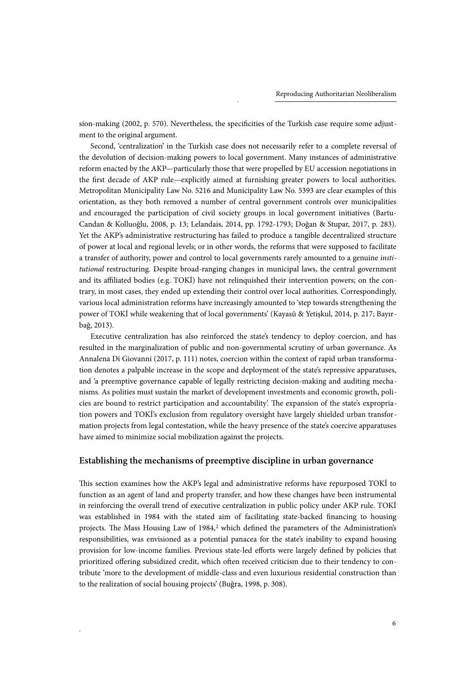sion-making (2002, p. 570). Nevertheless, the specificities of the Turkish case require some adjustment to the original argument.

 Second, 'centralization' in the Turkish case does not necessarily refer to a complete reversal of the devolution of decision-making powers to local government. Many instances of administrative reform enacted by the AKP—particularly those that were propelled by EU accession negotiations in the irst decade of AKP rule—explicitly aimed at furnishing greater powers to local authorities. Metropolitan Municipality Law No. 5216 and Municipality Law No. 5393 are clear examples of this orientation, as they both removed a number of central government controls over municipalities and encouraged the participation of civil society groups in local government initiatives (Bartu-Candan & Kolluoğlu, 2008, p. 13; Lelandais, 2014, pp. 1792-1793; Doğan & Stupar, 2017, p. 283). Yet the AKP's administrative restructuring has failed to produce a tangible decentralized structure of power at local and regional levels; or in other words, the reforms that were supposed to facilitate a transfer of authority, power and control to local governments rarely amounted to a genuine institutional restructuring. Despite broad-ranging changes in municipal laws, the central government and its affiliated bodies (e.g. TOKİ) have not relinquished their intervention powers; on the contrary, in most cases, they ended up extending their control over local authorities. Correspondingly, various local administration reforms have increasingly amounted to 'step towards strengthening the power of TOKİ while weakening that of local governments' (Kayasü & Yetişkul, 2014, p. 217; Bayırbağ, 2013).

<span id="page-6-2"></span><span id="page-6-1"></span><span id="page-6-0"></span> Executive centralization has also reinforced the state's tendency to deploy coercion, and has resulted in the marginalization of public and non-governmental scrutiny of urban governance. As Annalena Di Giovanni (2017, p. 111) notes, coercion within the context of rapid urban transformation denotes a palpable increase in the scope and deployment of the state's repressive apparatuses, and 'a preemptive governance capable of legally restricting decision-making and auditing mechanisms. As polities must sustain the market of development investments and economic growth, policies are bound to restrict participation and accountability'. he expansion of the state's expropriation powers and TOKİ's exclusion from regulatory oversight have largely shielded urban transformation projects from legal contestation, while the heavy presence of the state's coercive apparatuses have aimed to minimize social mobilization against the projects.

# <span id="page-6-3"></span>**Establishing the mechanisms of preemptive discipline in urban governance**

<span id="page-6-6"></span><span id="page-6-5"></span><span id="page-6-4"></span>his section examines how the AKP's legal and administrative reforms have repurposed TOKİ to function as an agent of land and property transfer, and how these changes have been instrumental in reinforcing the overall trend of executive centralization in public policy under AKP rule. TOKİ was established in 1984 with the stated aim of facilitating state-backed inancing to housing projects.The Mass Housing Law of  $1984$ ,<sup>2</sup> which defined the parameters of the Administration's responsibilities, was envisioned as a potential panacea for the state's inability to expand housing provision for low-income families. Previous state-led efforts were largely deined by policies that prioritized offering subsidized credit, which oten received criticism due to their tendency to contribute 'more to the development of middle-class and even luxurious residential construction than to the realization of social housing projects' (Buğra, 1998, p. 308).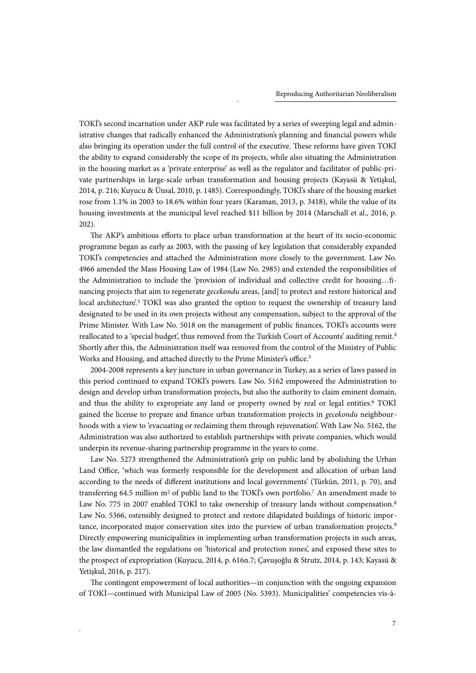<span id="page-7-0"></span>TOKİ's second incarnation under AKP rule was facilitated by a series of sweeping legal and administrative changes that radically enhanced the Administration's planning and financial powers while also bringing its operation under the full control of the executive. These reforms have given TOKİ the ability to expand considerably the scope of its projects, while also situating the Administration in the housing market as a 'private enterprise' as well as the regulator and facilitator of public-private partnerships in large-scale urban transformation and housing projects (Kayasü & Yetişkul, 2014, p. 216; Kuyucu & Ünsal, 2010, p. 1485). Correspondingly, TOKİ's share of the housing market rose from 1.1% in 2003 to 18.6% within four years (Karaman, 2013, p. 3418), while the value of its housing investments at the municipal level reached \$11 billion by 2014 (Marschall et al., 2016, p. 202).

<span id="page-7-1"></span>he AKP's ambitious efforts to place urban transformation at the heart of its socio-economic programme began as early as 2003, with the passing of key legislation that considerably expanded TOKİ's competencies and attached the Administration more closely to the government. Law No. 4966 amended the Mass Housing Law of 1984 (Law No. 2985) and extended the responsibilities of the Administration to include the 'provision of individual and collective credit for housing...financing projects that aim to regenerate gecekondu areas, [and] to protect and restore historical and localarchitecture<sup>'3</sup> TOKI was also granted the option to request the ownership of treasury land designated to be used in its own projects without any compensation, subject to the approval of the Prime Minister. With Law No. 5018 on the management of public finances, TOKİ's accounts were reallocated to a 'special budget', thus removed from the Turkish Court of Accounts' auditing remit.<sup>[4](#page-13-3)</sup> Shortly ater this, the Administration itself was removed from the control of the Ministry of Public Works and Housing, and attached directly to the Prime Minister's office.<sup>[5](#page-13-4)</sup>

<span id="page-7-2"></span> 2004-2008 represents a key juncture in urban governance in Turkey, as a series of laws passed in this period continued to expand TOKİ's powers. Law No. 5162 empowered the Administration to design and develop urban transformation projects, but also the authority to claim eminent domain, and thus the ability to expropriate any land or property owned by real or legal entities.<sup>6</sup> TOKİ gained the license to prepare and finance urban transformation projects in *gecekondu* neighbourhoods with a view to 'evacuating or reclaiming them through rejuvenation'. With Law No. 5162, the Administration was also authorized to establish partnerships with private companies, which would underpin its revenue-sharing partnership programme in the years to come.

<span id="page-7-4"></span><span id="page-7-3"></span> Law No. 5273 strengthened the Administration's grip on public land by abolishing the Urban Land Office, 'which was formerly responsible for the development and allocation of urban land according to the needs of different institutions and local governments' (Türkün, 2011, p. 70), and transferring 64.5 million  $m^2$  of public land to the TOKI's own portfolio.<sup>7</sup> An amendment made to Law No. 775 in 2007 enabled TOKİ to take ownership of treasury lands without compensation.[8](#page-13-7) Law No. 5366, ostensibly designed to protect and restore dilapidated buildings of historic importance, incorporated major conservation sites into the purview of urban transformation projects.[9](#page-13-8) Directly empowering municipalities in implementing urban transformation projects in such areas, the law dismantled the regulations on 'historical and protection zones', and exposed these sites to the prospect of expropriation (Kuyucu, 2014, p. 616n.7; Çavuşoğlu & Strutz, 2014, p. 143; Kayasü & Yetişkul, 2016, p. 217).

<span id="page-7-5"></span>he contingent empowerment of local authorities—in conjunction with the ongoing expansion of TOKİ—continued with Municipal Law of 2005 (No. 5393). Municipalities' competencies vis-à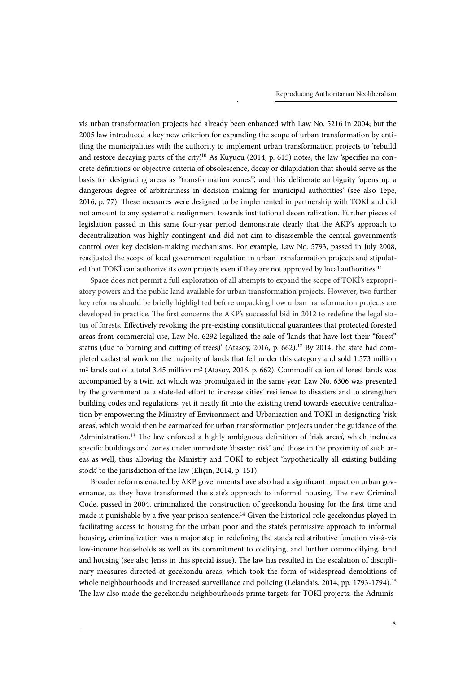vis urban transformation projects had already been enhanced with Law No. 5216 in 2004; but the 2005 law introduced a key new criterion for expanding the scope of urban transformation by entitling the municipalities with the authority to implement urban transformation projects to 'rebuild and restore decaying parts of the city.<sup>10</sup> As Kuyucu (2014, p[.](#page-13-9) 615) notes, the law 'specifies no concrete definitions or objective criteria of obsolescence, decay or dilapidation that should serve as the basis for designating areas as "transformation zones"', and this deliberate ambiguity 'opens up a dangerous degree of arbitrariness in decision making for municipal authorities' (see also Tepe, 2016, p. 77). These measures were designed to be implemented in partnership with TOKI and did not amount to any systematic realignment towards institutional decentralization. Further pieces of legislation passed in this same four-year period demonstrate clearly that the AKP's approach to decentralization was highly contingent and did not aim to disassemble the central government's control over key decision-making mechanisms. For example, Law No. 5793, passed in July 2008, readjusted the scope of local government regulation in urban transformation projects and stipulat-ed that TOKI can authorize its own projects even if they are not approved by local authorities.<sup>[11](#page-13-10)</sup>

Space does not permit a full exploration of all attempts to expand the scope of TOKİ's expropriatory powers and the public land available for urban transformation projects. However, two further key reforms should be briely highlighted before unpacking how urban transformation projects are developed in practice. The first concerns the AKP's successful bid in 2012 to redefine the legal status of forests. Effectively revoking the pre-existing constitutional guarantees that protected forested areas from commercial use, Law No. 6292 legalized the sale of 'lands that have lost their "forest" status (due to burning and cutting of trees)' (Atasoy, 2016, p. 662).<sup>[12](#page-13-11)</sup> By 2014, the state had completed cadastral work on the majority of lands that fell under this category and sold 1.573 million  $m<sup>2</sup>$  lands out of a total 3.45 million  $m<sup>2</sup>$  (Atasoy, 2016, p. 662). Commodification of forest lands was accompanied by a twin act which was promulgated in the same year. Law No. 6306 was presented by the government as a state-led effort to increase cities' resilience to disasters and to strengthen building codes and regulations, yet it neatly it into the existing trend towards executive centralization by empowering the Ministry of Environment and Urbanization and TOKİ in designating 'risk areas', which would then be earmarked for urban transformation projects under the guidance of the Administration.<sup>[13](#page-13-12)</sup> The law enforced a highly ambiguous definition of 'risk areas', which includes speciic buildings and zones under immediate 'disaster risk' and those in the proximity of such areas as well, thus allowing the Ministry and TOKİ to subject 'hypothetically all existing building stock' to the jurisdiction of the law (Eliçin, 2014, p. 151).

Broader reforms enacted by AKP governments have also had a significant impact on urban governance, as they have transformed the state's approach to informal housing. The new Criminal Code, passed in 2004, criminalized the construction of gecekondu housing for the first time and made it punishable by a five-year prison sentence.<sup>14</sup> Given the historical role gecekondus played in facilitating access to housing for the urban poor and the state's permissive approach to informal housing, criminalization was a major step in redefining the state's redistributive function vis-à-vis low-income households as well as its commitment to codifying, and further commodifying, land and housing (see also Jenss in this special issue). The law has resulted in the escalation of disciplinary measures directed at gecekondu areas, which took the form of widespread demolitions of whole neighbourhoods and increased surveillance and policing (Lelandais, 2014, pp. 1793-1794).<sup>[15](#page-13-14)</sup> The law also made the gecekondu neighbourhoods prime targets for TOKİ projects: the Adminis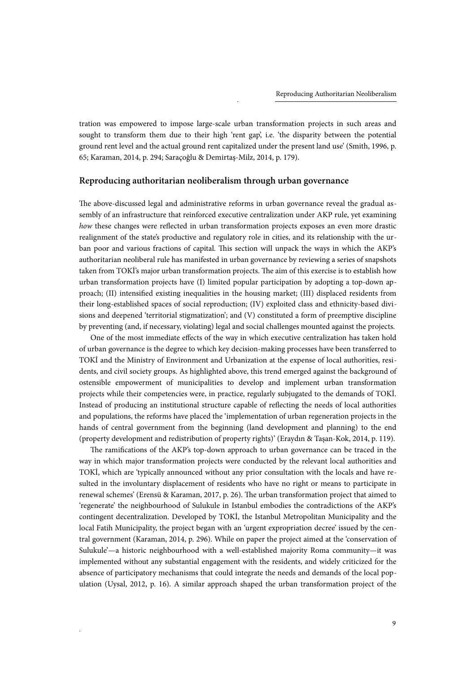tration was empowered to impose large-scale urban transformation projects in such areas and sought to transform them due to their high 'rent gap', i.e. 'the disparity between the potential ground rent level and the actual ground rent capitalized under the present land use' (Smith, 1996, p. 65; Karaman, 2014, p. 294; Saraçoğlu & Demirtaş-Milz, 2014, p. 179).

#### <span id="page-9-0"></span>**Reproducing authoritarian neoliberalism through urban governance**

The above-discussed legal and administrative reforms in urban governance reveal the gradual assembly of an infrastructure that reinforced executive centralization under AKP rule, yet examining how these changes were reflected in urban transformation projects exposes an even more drastic realignment of the state's productive and regulatory role in cities, and its relationship with the urban poor and various fractions of capital. This section will unpack the ways in which the AKP's authoritarian neoliberal rule has manifested in urban governance by reviewing a series of snapshots taken from TOKİ's major urban transformation projects. The aim of this exercise is to establish how urban transformation projects have (I) limited popular participation by adopting a top-down approach; (II) intensiied existing inequalities in the housing market; (III) displaced residents from their long-established spaces of social reproduction; (IV) exploited class and ethnicity-based divisions and deepened 'territorial stigmatization'; and (V) constituted a form of preemptive discipline by preventing (and, if necessary, violating) legal and social challenges mounted against the projects.

 One of the most immediate effects of the way in which executive centralization has taken hold of urban governance is the degree to which key decision-making processes have been transferred to TOKİ and the Ministry of Environment and Urbanization at the expense of local authorities, residents, and civil society groups. As highlighted above, this trend emerged against the background of ostensible empowerment of municipalities to develop and implement urban transformation projects while their competencies were, in practice, regularly subjugated to the demands of TOKİ. Instead of producing an institutional structure capable of relecting the needs of local authorities and populations, the reforms have placed the 'implementation of urban regeneration projects in the hands of central government from the beginning (land development and planning) to the end (property development and redistribution of property rights)' (Eraydın & Taşan-Kok, 2014, p. 119).

The ramifications of the AKP's top-down approach to urban governance can be traced in the way in which major transformation projects were conducted by the relevant local authorities and TOKİ, which are 'typically announced without any prior consultation with the locals and have resulted in the involuntary displacement of residents who have no right or means to participate in renewal schemes' (Erensü & Karaman, 2017, p. 26). The urban transformation project that aimed to 'regenerate' the neighbourhood of Sulukule in Istanbul embodies the contradictions of the AKP's contingent decentralization. Developed by TOKİ, the Istanbul Metropolitan Municipality and the local Fatih Municipality, the project began with an 'urgent expropriation decree' issued by the central government (Karaman, 2014, p. 296). While on paper the project aimed at the 'conservation of Sulukule'—a historic neighbourhood with a well-established majority Roma community—it was implemented without any substantial engagement with the residents, and widely criticized for the absence of participatory mechanisms that could integrate the needs and demands of the local population (Uysal, 2012, p. 16). A similar approach shaped the urban transformation project of the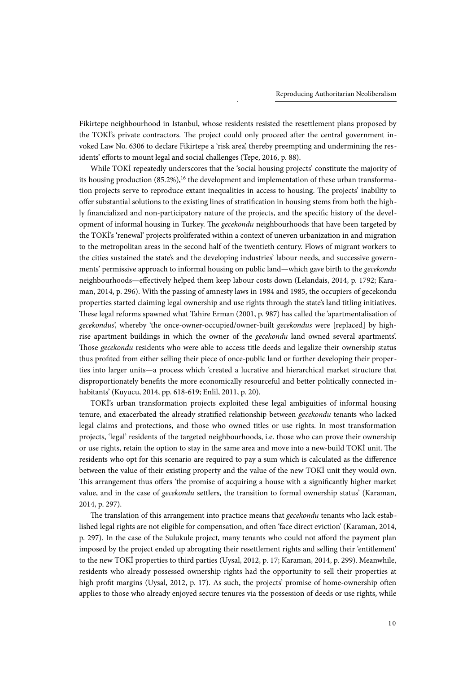Fikirtepe neighbourhood in Istanbul, whose residents resisted the resettlement plans proposed by the TOKİ's private contractors. The project could only proceed after the central government invoked Law No. 6306 to declare Fikirtepe a 'risk area', thereby preempting and undermining the residents' efforts to mount legal and social challenges (Tepe, 2016, p. 88).

 While TOKİ repeatedly underscores that the 'social housing projects' constitute the majority of its housing production  $(85.2\%)$ [,](#page-13-15) <sup>16</sup> the development and implementation of these urban transformation projects serve to reproduce extant inequalities in access to housing. he projects' inability to offer substantial solutions to the existing lines of stratiication in housing stems from both the highly financialized and non-participatory nature of the projects, and the specific history of the development of informal housing in Turkey. The *gecekondu* neighbourhoods that have been targeted by the TOKİ's 'renewal' projects proliferated within a context of uneven urbanization in and migration to the metropolitan areas in the second half of the twentieth century. Flows of migrant workers to the cities sustained the state's and the developing industries' labour needs, and successive governments' permissive approach to informal housing on public land—which gave birth to the *gecekondu* neighbourhoods—effectively helped them keep labour costs down (Lelandais, 2014, p. 1792; Karaman, 2014, p. 296). With the passing of amnesty laws in 1984 and 1985, the occupiers of gecekondu properties started claiming legal ownership and use rights through the state's land titling initiatives. hese legal reforms spawned what Tahire Erman (2001, p. 987) has called the 'apartmentalisation of gecekondus', whereby 'the once-owner-occupied/owner-built gecekondus were [replaced] by highrise apartment buildings in which the owner of the gecekondu land owned several apartments'. Those gecekondu residents who were able to access title deeds and legalize their ownership status thus profited from either selling their piece of once-public land or further developing their properties into larger units—a process which 'created a lucrative and hierarchical market structure that disproportionately beneits the more economically resourceful and better politically connected inhabitants' (Kuyucu, 2014, pp. 618-619; Enlil, 2011, p. 20).

 TOKİ's urban transformation projects exploited these legal ambiguities of informal housing tenure, and exacerbated the already stratified relationship between gecekondu tenants who lacked legal claims and protections, and those who owned titles or use rights. In most transformation projects, 'legal' residents of the targeted neighbourhoods, i.e. those who can prove their ownership or use rights, retain the option to stay in the same area and move into a new-build TOKİ unit. he residents who opt for this scenario are required to pay a sum which is calculated as the difference between the value of their existing property and the value of the new TOKİ unit they would own. This arrangement thus offers 'the promise of acquiring a house with a significantly higher market value, and in the case of gecekondu settlers, the transition to formal ownership status' (Karaman, 2014, p. 297).

The translation of this arrangement into practice means that *gecekondu* tenants who lack established legal rights are not eligible for compensation, and oten 'face direct eviction' (Karaman, 2014, p. 297). In the case of the Sulukule project, many tenants who could not afford the payment plan imposed by the project ended up abrogating their resettlement rights and selling their 'entitlement' to the new TOKİ properties to third parties (Uysal, 2012, p. 17; Karaman, 2014, p. 299). Meanwhile, residents who already possessed ownership rights had the opportunity to sell their properties at high profit margins (Uysal, 2012, p. 17). As such, the projects' promise of home-ownership often applies to those who already enjoyed secure tenures via the possession of deeds or use rights, while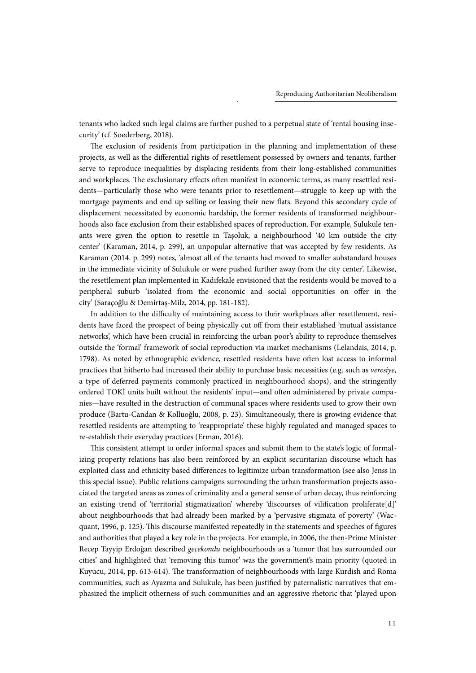tenants who lacked such legal claims are further pushed to a perpetual state of 'rental housing insecurity' (cf. Soederberg, 2018).

The exclusion of residents from participation in the planning and implementation of these projects, as well as the differential rights of resettlement possessed by owners and tenants, further serve to reproduce inequalities by displacing residents from their long-established communities and workplaces. The exclusionary effects often manifest in economic terms, as many resettled residents—particularly those who were tenants prior to resettlement—struggle to keep up with the mortgage payments and end up selling or leasing their new lats. Beyond this secondary cycle of displacement necessitated by economic hardship, the former residents of transformed neighbourhoods also face exclusion from their established spaces of reproduction. For example, Sulukule tenants were given the option to resettle in Taşoluk, a neighbourhood '40 km outside the city center' (Karaman, 2014, p. 299), an unpopular alternative that was accepted by few residents. As Karaman (2014. p. 299) notes, 'almost all of the tenants had moved to smaller substandard houses in the immediate vicinity of Sulukule or were pushed further away from the city center'. Likewise, the resettlement plan implemented in Kadifekale envisioned that the residents would be moved to a peripheral suburb 'isolated from the economic and social opportunities on offer in the city' (Saraçoğlu & Demirtaş-Milz, 2014, pp. 181-182).

 In addition to the difficulty of maintaining access to their workplaces ater resettlement, residents have faced the prospect of being physically cut off from their established 'mutual assistance networks', which have been crucial in reinforcing the urban poor's ability to reproduce themselves outside the 'formal' framework of social reproduction via market mechanisms (Lelandais, 2014, p. 1798). As noted by ethnographic evidence, resettled residents have oten lost access to informal practices that hitherto had increased their ability to purchase basic necessities (e.g. such as veresiye, a type of deferred payments commonly practiced in neighbourhood shops), and the stringently ordered TOKİ units built without the residents' input—and oten administered by private companies—have resulted in the destruction of communal spaces where residents used to grow their own produce (Bartu-Candan & Kolluoğlu, 2008, p. 23). Simultaneously, there is growing evidence that resettled residents are attempting to 'reappropriate' these highly regulated and managed spaces to re-establish their everyday practices (Erman, 2016).

This consistent attempt to order informal spaces and submit them to the state's logic of formalizing property relations has also been reinforced by an explicit securitarian discourse which has exploited class and ethnicity based differences to legitimize urban transformation (see also Jenss in this special issue). Public relations campaigns surrounding the urban transformation projects associated the targeted areas as zones of criminality and a general sense of urban decay, thus reinforcing an existing trend of 'territorial stigmatization' whereby 'discourses of vilification proliferate[d]' about neighbourhoods that had already been marked by a 'pervasive stigmata of poverty' (Wacquant, 1996, p. 125). This discourse manifested repeatedly in the statements and speeches of figures and authorities that played a key role in the projects. For example, in 2006, the then-Prime Minister Recep Tayyip Erdoğan described gecekondu neighbourhoods as a 'tumor that has surrounded our cities' and highlighted that 'removing this tumor' was the government's main priority (quoted in Kuyucu, 2014, pp. 613-614). The transformation of neighbourhoods with large Kurdish and Roma communities, such as Ayazma and Sulukule, has been justiied by paternalistic narratives that emphasized the implicit otherness of such communities and an aggressive rhetoric that 'played upon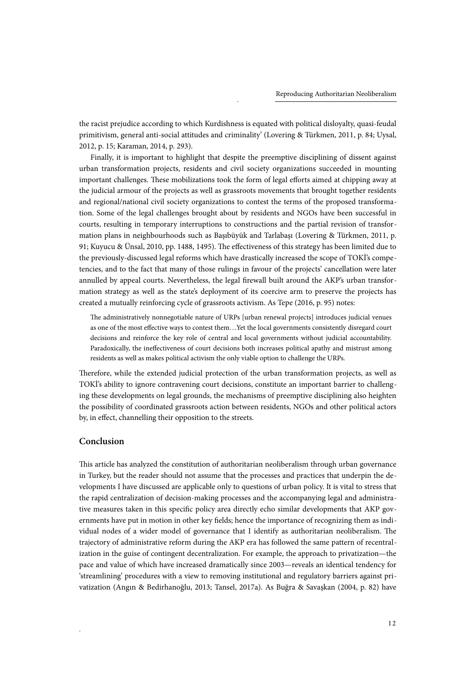the racist prejudice according to which Kurdishness is equated with political disloyalty, quasi-feudal primitivism, general anti-social attitudes and criminality' (Lovering & Türkmen, 2011, p. 84; Uysal, 2012, p. 15; Karaman, 2014, p. 293).

 Finally, it is important to highlight that despite the preemptive disciplining of dissent against urban transformation projects, residents and civil society organizations succeeded in mounting important challenges. These mobilizations took the form of legal efforts aimed at chipping away at the judicial armour of the projects as well as grassroots movements that brought together residents and regional/national civil society organizations to contest the terms of the proposed transformation. Some of the legal challenges brought about by residents and NGOs have been successful in courts, resulting in temporary interruptions to constructions and the partial revision of transformation plans in neighbourhoods such as Başıbüyük and Tarlabaşı (Lovering & Türkmen, 2011, p. 91; Kuyucu & Ünsal, 2010, pp. 1488, 1495). The effectiveness of this strategy has been limited due to the previously-discussed legal reforms which have drastically increased the scope of TOKİ's competencies, and to the fact that many of those rulings in favour of the projects' cancellation were later annulled by appeal courts. Nevertheless, the legal firewall built around the AKP's urban transformation strategy as well as the state's deployment of its coercive arm to preserve the projects has created a mutually reinforcing cycle of grassroots activism. As Tepe (2016, p. 95) notes:

he administratively nonnegotiable nature of URPs [urban renewal projects] introduces judicial venues as one of the most effective ways to contest them…Yet the local governments consistently disregard court decisions and reinforce the key role of central and local governments without judicial accountability. Paradoxically, the ineffectiveness of court decisions both increases political apathy and mistrust among residents as well as makes political activism the only viable option to challenge the URPs.

herefore, while the extended judicial protection of the urban transformation projects, as well as TOKİ's ability to ignore contravening court decisions, constitute an important barrier to challenging these developments on legal grounds, the mechanisms of preemptive disciplining also heighten the possibility of coordinated grassroots action between residents, NGOs and other political actors by, in effect, channelling their opposition to the streets.

## **Conclusion**

his article has analyzed the constitution of authoritarian neoliberalism through urban governance in Turkey, but the reader should not assume that the processes and practices that underpin the developments I have discussed are applicable only to questions of urban policy. It is vital to stress that the rapid centralization of decision-making processes and the accompanying legal and administrative measures taken in this specific policy area directly echo similar developments that AKP governments have put in motion in other key ields; hence the importance of recognizing them as individual nodes of a wider model of governance that I identify as authoritarian neoliberalism. The trajectory of administrative reform during the AKP era has followed the same pattern of recentralization in the guise of contingent decentralization. For example, the approach to privatization—the pace and value of which have increased dramatically since 2003—reveals an identical tendency for 'streamlining' procedures with a view to removing institutional and regulatory barriers against privatization (Angın & Bedirhanoğlu, 2013; Tansel, 2017a). As Buğra & Savaşkan (2004, p. 82) have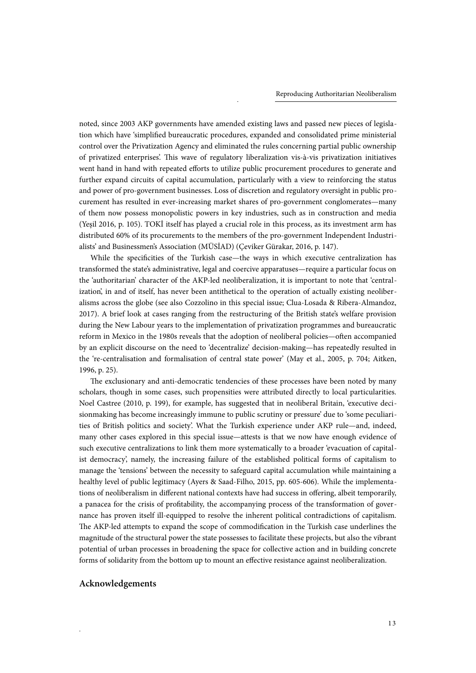noted, since 2003 AKP governments have amended existing laws and passed new pieces of legislation which have 'simpliied bureaucratic procedures, expanded and consolidated prime ministerial control over the Privatization Agency and eliminated the rules concerning partial public ownership of privatized enterprises'. his wave of regulatory liberalization vis-à-vis privatization initiatives went hand in hand with repeated efforts to utilize public procurement procedures to generate and further expand circuits of capital accumulation, particularly with a view to reinforcing the status and power of pro-government businesses. Loss of discretion and regulatory oversight in public procurement has resulted in ever-increasing market shares of pro-government conglomerates—many of them now possess monopolistic powers in key industries, such as in construction and media (Yeşil 2016, p. 105). TOKİ itself has played a crucial role in this process, as its investment arm has distributed 60% of its procurements to the members of the pro-government Independent Industrialists' and Businessmen's Association (MÜSİAD) (Çeviker Gürakar, 2016, p. 147).

<span id="page-13-2"></span><span id="page-13-1"></span><span id="page-13-0"></span>While the specificities of the Turkish case—the ways in which executive centralization has transformed the state's administrative, legal and coercive apparatuses—require a particular focus on the 'authoritarian' character of the AKP-led neoliberalization, it is important to note that 'centralization', in and of itself, has never been antithetical to the operation of actually existing neoliberalisms across the globe (see also Cozzolino in this special issue; Clua-Losada & Ribera-Almandoz, 2017). A brief look at cases ranging from the restructuring of the British state's welfare provision during the New Labour years to the implementation of privatization programmes and bureaucratic reform in Mexico in the 1980s reveals that the adoption of neoliberal policies—oten accompanied by an explicit discourse on the need to 'decentralize' decision-making—has repeatedly resulted in the 're-centralisation and formalisation of central state power' (May et al., 2005, p. 704; Aitken, 1996, p. 25).

<span id="page-13-14"></span><span id="page-13-13"></span><span id="page-13-12"></span><span id="page-13-11"></span><span id="page-13-10"></span><span id="page-13-9"></span><span id="page-13-8"></span><span id="page-13-7"></span><span id="page-13-6"></span><span id="page-13-5"></span><span id="page-13-4"></span><span id="page-13-3"></span>The exclusionary and anti-democratic tendencies of these processes have been noted by many scholars, though in some cases, such propensities were attributed directly to local particularities. Noel Castree (2010, p. 199), for example, has suggested that in neoliberal Britain, 'executive decisionmaking has become increasingly immune to public scrutiny or pressure' due to 'some peculiarities of British politics and society'. What the Turkish experience under AKP rule—and, indeed, many other cases explored in this special issue—attests is that we now have enough evidence of such executive centralizations to link them more systematically to a broader 'evacuation of capitalist democracy', namely, the increasing failure of the established political forms of capitalism to manage the 'tensions' between the necessity to safeguard capital accumulation while maintaining a healthy level of public legitimacy (Ayers & Saad-Filho, 2015, pp. 605-606). While the implementations of neoliberalism in different national contexts have had success in offering, albeit temporarily, a panacea for the crisis of profitability, the accompanying process of the transformation of governance has proven itself ill-equipped to resolve the inherent political contradictions of capitalism. The AKP-led attempts to expand the scope of commodification in the Turkish case underlines the magnitude of the structural power the state possesses to facilitate these projects, but also the vibrant potential of urban processes in broadening the space for collective action and in building concrete forms of solidarity from the bottom up to mount an effective resistance against neoliberalization.

## <span id="page-13-15"></span>**Acknowledgements**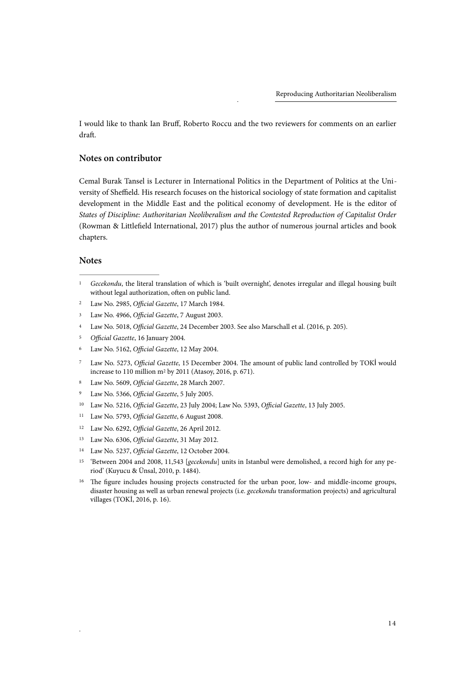I would like to thank Ian Bruff, Roberto Roccu and the two reviewers for comments on an earlier drat.

### **Notes on contributor**

Cemal Burak Tansel is Lecturer in International Politics in the Department of Politics at the University of Sheffield. His research focuses on the historical sociology of state formation and capitalist development in the Middle East and the political economy of development. He is the editor of States of Discipline: Authoritarian Neoliberalism and the Contested Reproduction of Capitalist Order (Rowman & Littleield International, 2017) plus the author of numerous journal articles and book chapters.

# **Notes**

- <sup>[2](#page-5-0)</sup> Law No. 2985, Official Gazette, 17 March 1984.
- [3](#page-6-0) Law No. 4966, Official Gazette, 7 August 2003.
- [4](#page-6-1) Law No. 5018, Official Gazette, 24 December 2003. See also Marschall et al. (2016, p. 205).
- <sup>[5](#page-6-2)</sup> Official Gazette, 16 January 2004.
- <sup>[6](#page-6-3)</sup> Law No. 5162, Official Gazette, 12 May 2004.
- <sup>[7](#page-6-4)</sup> Law No. 5273, Official Gazette, 15 December 2004. The amount of public land controlled by TOKİ would increase to 110 million m2 by 2011 (Atasoy, 2016, p. 671).
- <sup>[8](#page-6-5)</sup> Law No. 5609, Official Gazette, 28 March 2007.
- <sup>[9](#page-6-6)</sup> Law No. 5366, Official Gazette, 5 July 2005.
- <sup>[10](#page-7-0)</sup> Law No. 5216, Official Gazette, 23 July 2004; Law No. 5393, Official Gazette, 13 July 2005.
- <sup>[11](#page-7-1)</sup> Law No. 5793, Official Gazette, 6 August 2008.
- <sup>[12](#page-7-2)</sup> Law No. 6292, Official Gazette, 26 April 2012.
- <sup>[13](#page-7-3)</sup> Law No. 6306, Official Gazette, 31 May 2012.
- [14](#page-7-4) Law No. 5237, Official Gazette, 12 October 2004.
- <sup>[15](#page-7-5)</sup> 'Between 2004 and 2008, 11,543 [gecekondu] units in Istanbul were demolished, a record high for any period' (Kuyucu & Ünsal, 2010, p. 1484).
- <sup>[16](#page-9-0)</sup> The figure includes housing projects constructed for the urban poor, low- and middle-income groups, disaster housing as well as urban renewal projects (i.e. *gecekondu* transformation projects) and agricultural villages (TOKİ, 2016, p. 16).

 $1$  Gecekondu, the literal translation of which is 'built overnight', denotes irregular and illegal housing built without legal authorization, often on public land.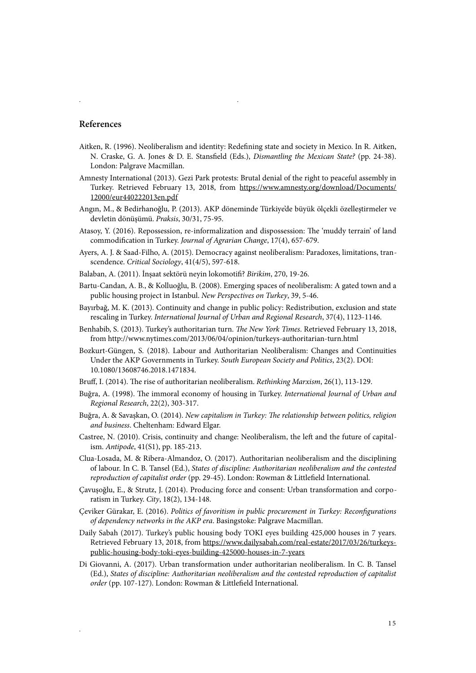#### **References**

- Aitken, R. (1996). Neoliberalism and identity: Redeining state and society in Mexico. In R. Aitken, N. Craske, G. A. Jones & D. E. Stansield (Eds.), Dismantling the Mexican State? (pp. 24-38). London: Palgrave Macmillan.
- Amnesty International (2013). Gezi Park protests: Brutal denial of the right to peaceful assembly in Turkey. Retrieved February 13, 2018, from [https://www.amnesty.org/download/Documents/](https://www.amnesty.org/download/Documents/12000/eur440222013en.pdf) [12000/eur440222013en.pdf](https://www.amnesty.org/download/Documents/12000/eur440222013en.pdf)
- Angın, M., & Bedirhanoğlu, P. (2013). AKP döneminde Türkiye'de büyük ölçekli özelleştirmeler ve devletin dönüşümü. Praksis, 30/31, 75-95.
- Atasoy, Y. (2016). Repossession, re-informalization and dispossession: The 'muddy terrain' of land commodification in Turkey. Journal of Agrarian Change, 17(4), 657-679.
- Ayers, A. J. & Saad-Filho, A. (2015). Democracy against neoliberalism: Paradoxes, limitations, transcendence. Critical Sociology, 41(4/5), 597-618.
- Balaban, A. (2011). İnşaat sektörü neyin lokomotifi? Birikim, 270, 19-26.
- Bartu-Candan, A. B., & Kolluoğlu, B. (2008). Emerging spaces of neoliberalism: A gated town and a public housing project in Istanbul. New Perspectives on Turkey, 39, 5-46.
- Bayırbağ, M. K. (2013). Continuity and change in public policy: Redistribution, exclusion and state rescaling in Turkey. International Journal of Urban and Regional Research, 37(4), 1123-1146.
- Benhabib, S. (2013). Turkey's authoritarian turn. *The New York Times*. Retrieved February 13, 2018, from http://www.nytimes.com/2013/06/04/opinion/turkeys-authoritarian-turn.html
- Bozkurt-Güngen, S. (2018). Labour and Authoritarian Neoliberalism: Changes and Continuities Under the AKP Governments in Turkey. South European Society and Politics, 23(2). DOI: 10.1080/13608746.2018.1471834.
- Bruff, I. (2014). The rise of authoritarian neoliberalism. Rethinking Marxism, 26(1), 113-129.
- Buğra, A. (1998). The immoral economy of housing in Turkey. International Journal of Urban and Regional Research, 22(2), 303-317.
- Buğra, A. & Savaşkan, O. (2014). New capitalism in Turkey: The relationship between politics, religion and business. Cheltenham: Edward Elgar.
- Castree, N. (2010). Crisis, continuity and change: Neoliberalism, the left and the future of capitalism. Antipode, 41(S1), pp. 185-213.
- Clua-Losada, M. & Ribera-Almandoz, O. (2017). Authoritarian neoliberalism and the disciplining of labour. In C. B. Tansel (Ed.), States of discipline: Authoritarian neoliberalism and the contested reproduction of capitalist order (pp. 29-45). London: Rowman & Littlefield International.
- Çavuşoğlu, E., & Strutz, J. (2014). Producing force and consent: Urban transformation and corporatism in Turkey. City, 18(2), 134-148.
- Çeviker Gürakar, E. (2016). Politics of favoritism in public procurement in Turkey: Reconigurations of dependency networks in the AKP era. Basingstoke: Palgrave Macmillan.
- Daily Sabah (2017). Turkey's public housing body TOKI eyes building 425,000 houses in 7 years. Retrieved February 13, 2018, from [https://www.dailysabah.com/real-estate/2017/03/26/turkeys](https://www.dailysabah.com/real-estate/2017/03/26/turkeys-public-housing-body-toki-eyes-building-425000-houses-in-7-years)[public-housing-body-toki-eyes-building-425000-houses-in-7-years](https://www.dailysabah.com/real-estate/2017/03/26/turkeys-public-housing-body-toki-eyes-building-425000-houses-in-7-years)
- Di Giovanni, A. (2017). Urban transformation under authoritarian neoliberalism. In C. B. Tansel (Ed.), States of discipline: Authoritarian neoliberalism and the contested reproduction of capitalist order (pp. 107-127). London: Rowman & Littlefield International.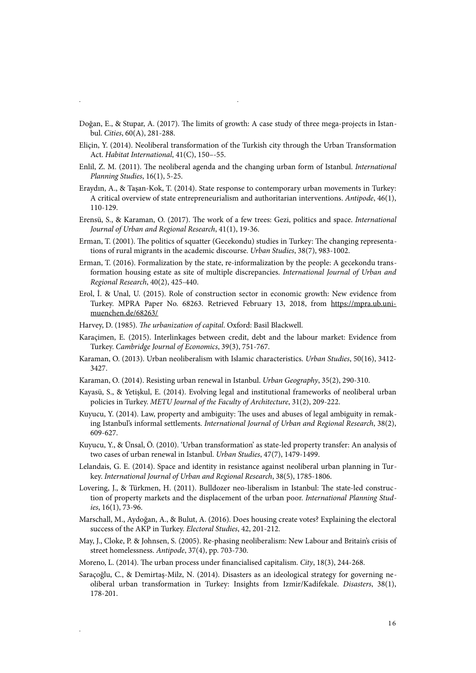- Doğan, E., & Stupar, A. (2017). The limits of growth: A case study of three mega-projects in Istanbul. Cities, 60(A), 281-288.
- Eliçin, Y. (2014). Neoliberal transformation of the Turkish city through the Urban Transformation Act. Habitat International, 41(C), 150–-55.
- Enlil, Z. M. (2011). The neoliberal agenda and the changing urban form of Istanbul. International Planning Studies, 16(1), 5-25.
- Eraydın, A., & Taşan-Kok, T. (2014). State response to contemporary urban movements in Turkey: A critical overview of state entrepreneurialism and authoritarian interventions. Antipode, 46(1), 110-129.
- Erensü, S., & Karaman, O. (2017). he work of a few trees: Gezi, politics and space. International Journal of Urban and Regional Research, 41(1), 19-36.
- Erman, T. (2001). The politics of squatter (Gecekondu) studies in Turkey: The changing representations of rural migrants in the academic discourse. Urban Studies, 38(7), 983-1002.
- Erman, T. (2016). Formalization by the state, re-informalization by the people: A gecekondu transformation housing estate as site of multiple discrepancies. International Journal of Urban and Regional Research, 40(2), 425-440.
- Erol, İ. & Unal, U. (2015). Role of construction sector in economic growth: New evidence from Turkey. MPRA Paper No. 68263. Retrieved February 13, 2018, from [https://mpra.ub.uni](https://mpra.ub.uni-muenchen.de/68263/)[muenchen.de/68263/](https://mpra.ub.uni-muenchen.de/68263/)
- Harvey, D. (1985). The urbanization of capital. Oxford: Basil Blackwell.
- Karaçimen, E. (2015). Interlinkages between credit, debt and the labour market: Evidence from Turkey. Cambridge Journal of Economics, 39(3), 751-767.
- Karaman, O. (2013). Urban neoliberalism with Islamic characteristics. Urban Studies, 50(16), 3412- 3427.
- Karaman, O. (2014). Resisting urban renewal in Istanbul. Urban Geography, 35(2), 290-310.
- Kayasü, S., & Yetişkul, E. (2014). Evolving legal and institutional frameworks of neoliberal urban policies in Turkey. METU Journal of the Faculty of Architecture, 31(2), 209-222.
- Kuyucu, Y. (2014). Law, property and ambiguity: The uses and abuses of legal ambiguity in remaking Istanbul's informal settlements. International Journal of Urban and Regional Research, 38(2), 609-627.
- Kuyucu, Y., & Ünsal, Ö. (2010). 'Urban transformation' as state-led property transfer: An analysis of two cases of urban renewal in Istanbul. Urban Studies, 47(7), 1479-1499.
- Lelandais, G. E. (2014). Space and identity in resistance against neoliberal urban planning in Turkey. International Journal of Urban and Regional Research, 38(5), 1785-1806.
- Lovering, J., & Türkmen, H. (2011). Bulldozer neo-liberalism in Istanbul: he state-led construction of property markets and the displacement of the urban poor. International Planning Studies, 16(1), 73-96.
- Marschall, M., Aydoğan, A., & Bulut, A. (2016). Does housing create votes? Explaining the electoral success of the AKP in Turkey. Electoral Studies, 42, 201-212.
- May, J., Cloke, P. & Johnsen, S. (2005). Re-phasing neoliberalism: New Labour and Britain's crisis of street homelessness. Antipode, 37(4), pp. 703-730.
- Moreno, L. (2014). The urban process under financialised capitalism. City,  $18(3)$ , 244-268.
- Saraçoğlu, C., & Demirtaş-Milz, N. (2014). Disasters as an ideological strategy for governing neoliberal urban transformation in Turkey: Insights from Izmir/Kadifekale. Disasters, 38(1), 178-201.